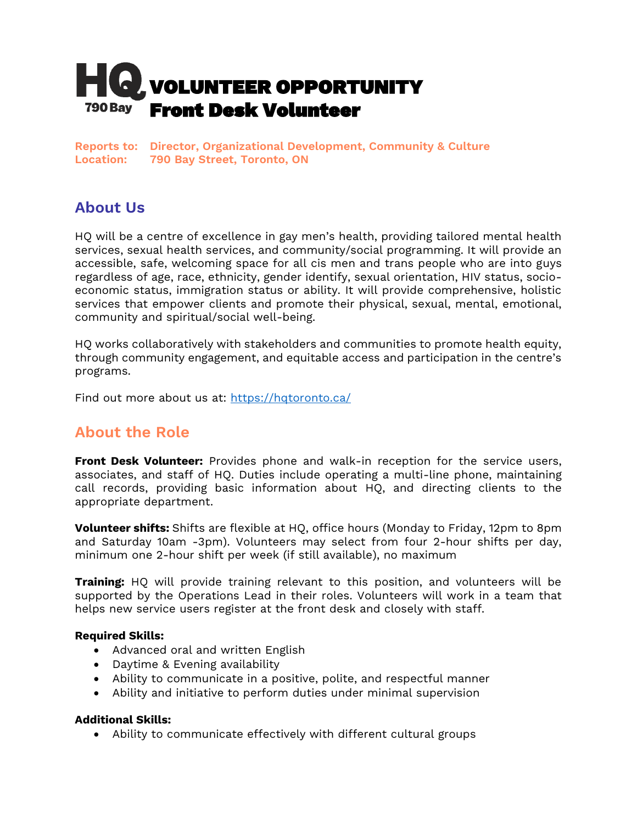

**Reports to: Director, Organizational Development, Community & Culture Location: 790 Bay Street, Toronto, ON**

## **About Us**

HQ will be a centre of excellence in gay men's health, providing tailored mental health services, sexual health services, and community/social programming. It will provide an accessible, safe, welcoming space for all cis men and trans people who are into guys regardless of age, race, ethnicity, gender identify, sexual orientation, HIV status, socioeconomic status, immigration status or ability. It will provide comprehensive, holistic services that empower clients and promote their physical, sexual, mental, emotional, community and spiritual/social well-being.

HQ works collaboratively with stakeholders and communities to promote health equity, through community engagement, and equitable access and participation in the centre's programs.

Find out more about us at:<https://hqtoronto.ca/>

### **About the Role**

**Front Desk Volunteer:** Provides phone and walk-in reception for the service users, associates, and staff of HQ. Duties include operating a multi-line phone, maintaining call records, providing basic information about HQ, and directing clients to the appropriate department.

**Volunteer shifts:** Shifts are flexible at HQ, office hours (Monday to Friday, 12pm to 8pm and Saturday 10am -3pm). Volunteers may select from four 2-hour shifts per day, minimum one 2-hour shift per week (if still available), no maximum

**Training:** HQ will provide training relevant to this position, and volunteers will be supported by the Operations Lead in their roles. Volunteers will work in a team that helps new service users register at the front desk and closely with staff.

#### **Required Skills:**

- Advanced oral and written English
- Daytime & Evening availability
- Ability to communicate in a positive, polite, and respectful manner
- Ability and initiative to perform duties under minimal supervision

#### **Additional Skills:**

• Ability to communicate effectively with different cultural groups